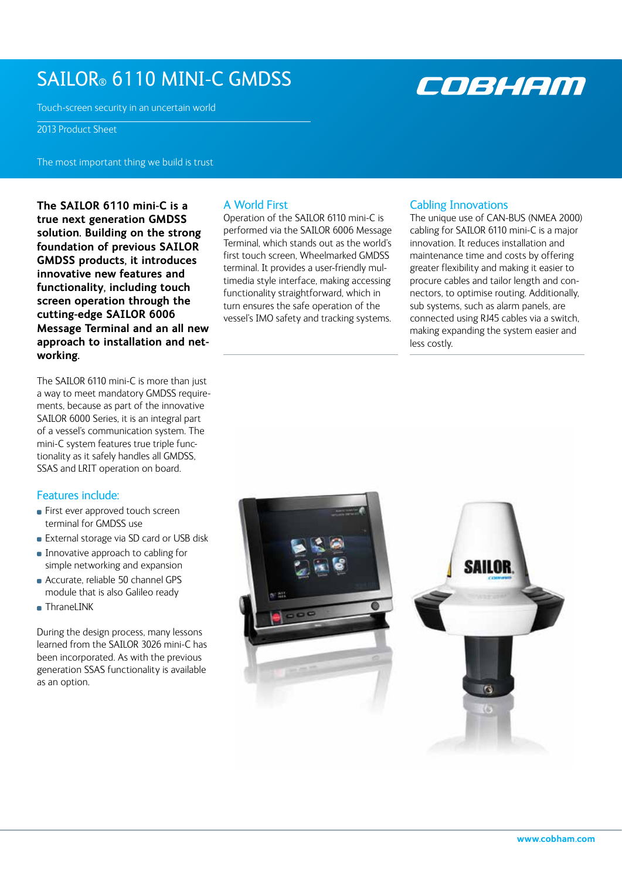# SAILOR® 6110 MINI-C GMDSS

Touch-screen security in an uncertain world

2013 Product Sheet

The most important thing we build is trust

**The SAILOR 6110 mini-C is a true next generation GMDSS solution. Building on the strong foundation of previous SAILOR GMDSS products, it introduces innovative new features and functionality, including touch screen operation through the cutting-edge SAILOR 6006 Message Terminal and an all new approach to installation and networking.** 

The SAILOR 6110 mini-C is more than just a way to meet mandatory GMDSS requirements, because as part of the innovative SAILOR 6000 Series, it is an integral part of a vessel's communication system. The mini-C system features true triple functionality as it safely handles all GMDSS, SSAS and LRIT operation on board.

# Features include:

- **First ever approved touch screen** terminal for GMDSS use
- **External storage via SD card or USB disk**
- **Innovative approach to cabling for** simple networking and expansion
- Accurate, reliable 50 channel GPS module that is also Galileo ready
- ThraneLINK

During the design process, many lessons learned from the SAILOR 3026 mini-C has been incorporated. As with the previous generation SSAS functionality is available as an option.

# A World First

Operation of the SAILOR 6110 mini-C is performed via the SAILOR 6006 Message Terminal, which stands out as the world's first touch screen, Wheelmarked GMDSS terminal. It provides a user-friendly multimedia style interface, making accessing functionality straightforward, which in turn ensures the safe operation of the vessel's IMO safety and tracking systems.

# Cabling Innovations

The unique use of CAN-BUS (NMEA 2000) cabling for SAILOR 6110 mini-C is a major innovation. It reduces installation and maintenance time and costs by offering greater flexibility and making it easier to procure cables and tailor length and connectors, to optimise routing. Additionally, sub systems, such as alarm panels, are connected using RJ45 cables via a switch, making expanding the system easier and less costly.